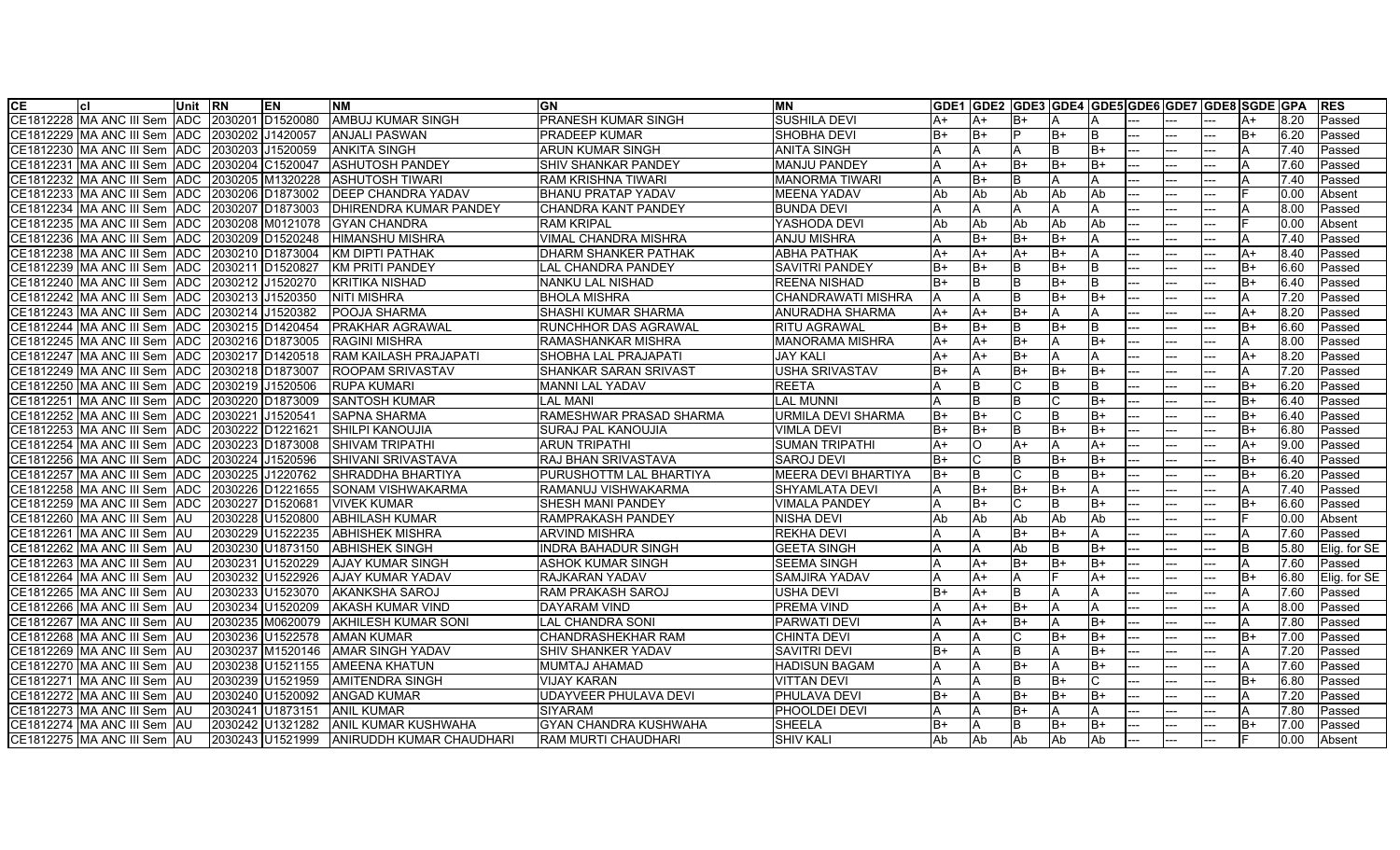| СE        |                                                    | Unit RN    |         | <b>EN</b>            | <b>INM</b>                       | GN                           | <b>IMN</b>                 |      | GDE1 GDE2 GDE3 GDE4 GDE5 GDE6 GDE7 GDE8 SGDE GPA |          |           |      |          |     |     |      |      | <b>IRES</b>  |
|-----------|----------------------------------------------------|------------|---------|----------------------|----------------------------------|------------------------------|----------------------------|------|--------------------------------------------------|----------|-----------|------|----------|-----|-----|------|------|--------------|
|           | CE1812228 MA ANC III Sem IADC                      |            | 2030201 | D <sub>1520080</sub> | IAMBUJ KUMAR SINGH               | PRANESH KUMAR SINGH          | <b>SUSHILA DEVI</b>        | A+   | A+                                               | B+       |           |      |          |     |     |      | 8.20 | Passed       |
|           | CE1812229 MA ANC III Sem ADC                       |            |         | 2030202 J1420057     | ANJALI PASWAN                    | PRADEEP KUMAR                | <b>SHOBHA DEVI</b>         | B+   | $B+$                                             |          | lB+       |      |          |     |     | B+   | 6.20 | Passed       |
|           | CE1812230 IMA ANC III Sem IADC                     |            |         | 2030203 J1520059     | ANKITA SINGH                     | ARUN KUMAR SINGH             | ANITA SINGH                |      | A                                                |          | <b>B</b>  | $B+$ |          |     |     |      | 7.40 | Passed       |
| CE1812231 | MA ANC III Sem ADC                                 |            |         | 2030204 C1520047     | ASHUTOSH PANDEY                  | SHIV SHANKAR PANDEY          | <b>IMANJU PANDEY</b>       |      | $A+$                                             | B+       | lB+       | B+   | <u></u>  | Ξ.  |     | A    | 7.60 | Passed       |
|           | CE1812232 IMA ANC III Sem IADC  I2030205 IM1320228 |            |         |                      | <b>ASHUTOSH TIWARI</b>           | <b>RAM KRISHNA TIWARI</b>    | <b>MANORMA TIWARI</b>      |      | $B+$                                             | IB.      | IΑ        |      |          |     |     |      | 7.40 | Passed       |
|           | CE1812233 IMA ANC III Sem IADC  I2030206 ID1873002 |            |         |                      | <b>IDEEP CHANDRA YADAV</b>       | <b>BHANU PRATAP YADAV</b>    | <b>IMEENA YADAV</b>        | Ab   | <b>Ab</b>                                        | Ab       | <b>Ab</b> | Ab   |          |     |     |      | 0.00 | Absent       |
|           | CE1812234 IMA ANC III Sem IADC_                    |            |         | 2030207 D1873003     | <b>DHIRENDRA KUMAR PANDEY</b>    | <b>CHANDRA KANT PANDEY</b>   | <b>BUNDA DEVI</b>          |      | Α                                                |          | ΙA        |      |          |     |     |      | 8.00 | Passed       |
|           | CE1812235 MA ANC III Sem ADC                       |            |         | 2030208 M0121078     | <b>GYAN CHANDRA</b>              | RAM KRIPAL                   | YASHODA DEVI               | Ab   | <b>Ab</b>                                        | Ab       | Ab        | Ab   |          |     |     |      | 0.00 | Absent       |
|           | CE1812236 MA ANC III Sem ADC                       |            |         | 2030209 D1520248     | <b>HIMANSHU MISHRA</b>           | VIMAL CHANDRA MISHRA         | <b>ANJU MISHRA</b>         |      | $B+$                                             | $B+$     | lB+       |      |          |     |     | А    | 7.40 | Passed       |
|           | CE1812238 MA ANC III Sem ADC 2030210 D1873004      |            |         |                      | KM DIPTI PATHAK                  | DHARM SHANKER PATHAK         | <b>ABHA PATHAK</b>         | A+   | $A+$                                             | A+       | lB+       |      |          |     |     | A+   | 8.40 | Passed       |
|           | CE1812239 MA ANC III Sem ADC                       |            |         | 2030211 D1520827     | <b>KM PRITI PANDEY</b>           | <b>LAL CHANDRA PANDEY</b>    | <b>SAVITRI PANDEY</b>      | B+   | $B+$                                             | B        | B+        | B    | --       |     |     | B+   | 6.60 | Passed       |
|           | CE1812240 MA ANC III Sem ADC 2030212 J1520270      |            |         |                      | <b>KRITIKA NISHAD</b>            | NANKU LAL NISHAD             | <b>REENA NISHAD</b>        | B+   | lΒ                                               | B        | $B+$      | ΙB   |          |     |     | B+   | 6.40 | Passed       |
|           | E1812242  MA ANC III Sem  ADC:                     |            |         | 2030213 J1520350     | <b>NITI MISHRA</b>               | <b>BHOLA MISHRA</b>          | <b>CHANDRAWATI MISHRA</b>  | Α    | A                                                | R        | lB+       | lB+  |          |     |     |      | 7.20 | Passed       |
|           | CE1812243 MA ANC III Sem ADC                       |            |         | 2030214 J1520382     | POOJA SHARMA                     | SHASHI KUMAR SHARMA          | <b>ANURADHA SHARMA</b>     | A+   | $A+$                                             | $B+$     | ΙA        |      | $-1$     |     |     | A+   | 8.20 | Passed       |
|           | CE1812244 MA ANC III Sem ADC                       |            |         | 2030215 D1420454     | PRAKHAR AGRAWAL                  | RUNCHHOR DAS AGRAWAL         | <b>RITU AGRAWAL</b>        | B+   | B+                                               | B        | lB+       |      |          |     |     | B+   | 6.60 | Passed       |
|           | CE1812245 MA ANC III Sem ADC                       |            |         | 2030216 D1873005     | <b>RAGINI MISHRA</b>             | RAMASHANKAR MISHRA           | MANORAMA MISHRA            | A+   | $A+$                                             | $B+$     | A         | $B+$ |          |     |     | A    | 8.00 | Passed       |
|           | E1812247 MA ANC III Sem ADC                        |            |         | 2030217 D1420518     | RAM KAILASH PRAJAPATI            | SHOBHA LAL PRAJAPATI         | <b>JAY KALI</b>            | A+   | $A+$                                             | $B+$     |           |      |          |     |     | $A+$ | 8.20 | Passed       |
|           | CE1812249  MA ANC III Sem  ADC                     |            |         | 2030218 D1873007     | <b>ROOPAM SRIVASTAV</b>          | SHANKAR SARAN SRIVAST        | <b>USHA SRIVASTAV</b>      | B+   | A                                                | $B+$     | lB+       | lB+  |          |     |     |      | 7.20 | Passed       |
|           | CE1812250 MA ANC III Sem ADC                       |            |         | 2030219 J1520506     | <b>RUPA KUMARI</b>               | MANNI LAL YADAV              | <b>REETA</b>               |      | B                                                |          | IΒ        |      |          |     |     | B+   | 6.20 | Passed       |
|           | E1812251 IMA ANC III Sem IADC:                     |            |         | 2030220 D1873009     | <b>SANTOSH KUMAR</b>             | LAL MANI                     | <b>LAL MUNNI</b>           |      | B                                                | <b>B</b> | Iс        | B+   |          |     |     | B+   | 6.40 | Passed       |
|           | CE1812252 MA ANC III Sem ADC                       |            | 2030221 | J1520541             | <b>SAPNA SHARMA</b>              | RAMESHWAR PRASAD SHARMA      | <b>URMILA DEVI SHARMA</b>  | B+   | B+                                               |          | ΙB        | B+   | <u></u>  |     |     | $B+$ | 6.40 | Passed       |
|           | CE1812253 MA ANC III Sem                           | <b>ADC</b> |         | 2030222 D1221621     | SHILPI KANOUJIA                  | SURAJ PAL KANOUJIA           | <b>VIMLA DEVI</b>          | B+   | IB+                                              | <b>B</b> | lB+       | $B+$ |          |     |     | $B+$ | 6.80 | Passed       |
|           | CE1812254 MA ANC III Sem ADC                       |            |         | 2030223 D1873008     | <b>SHIVAM TRIPATHI</b>           | <b>ARUN TRIPATHI</b>         | <b>SUMAN TRIPATHI</b>      | A+   | lO                                               | A+       |           | $A+$ |          |     |     | A+   | 9.00 | Passed       |
|           | CE1812256 MA ANC III Sem ADC                       |            | 2030224 | J1520596             | SHIVANI SRIVASTAVA               | RAJ BHAN SRIVASTAVA          | <b>SAROJ DEVI</b>          | B+   |                                                  |          | lB+       | $B+$ |          |     |     | B+   | 6.40 | Passed       |
|           | CE1812257 MA ANC III Sem ADC                       |            |         | 2030225 J1220762     | SHRADDHA BHARTIYA                | PURUSHOTTM LAL BHARTIYA      | <b>MEERA DEVI BHARTIYA</b> | $B+$ | B                                                |          | <b>B</b>  | $B+$ |          |     |     | $B+$ | 6.20 | Passed       |
|           | CE1812258 MA ANC III Sem ADC                       |            |         | 2030226 D1221655     | ISONAM VISHWAKARMA               | RAMANUJ VISHWAKARMA          | SHYAMLATA DEVI             |      | B+                                               | $B+$     | lB+       |      | $---$    | ÷-  |     | A    | 7.40 | Passed       |
|           | E1812259 IMA ANC III Sem IADC:                     |            |         | 2030227 D1520681     | <b>VIVEK KUMAR</b>               | <b>SHESH MANI PANDEY</b>     | <b>VIMALA PANDEY</b>       |      | $B+$                                             |          | lв        | $B+$ |          |     |     | B+   | 6.60 | Passed       |
|           | CE1812260 IMA ANC III Sem IAU                      |            |         | 2030228 U1520800     | <b>ABHILASH KUMAR</b>            | RAMPRAKASH PANDEY            | <b>NISHA DEVI</b>          | Ab   | Ab                                               | Ab       | <b>Ab</b> | Ab   |          |     |     |      | 0.00 | Absent       |
|           | CE1812261 MA ANC III Sem AU                        |            |         | 2030229 U1522235     | <b>ABHISHEK MISHRA</b>           | <b>ARVIND MISHRA</b>         | <b>REKHA DEVI</b>          |      | A                                                | $B+$     | lB+       |      |          |     |     |      | 7.60 | Passed       |
|           | E1812262 MA ANC III Sem AU                         |            |         | 2030230 U1873150     | <b>ABHISHEK SINGH</b>            | INDRA BAHADUR SINGH          | <b>GEETA SINGH</b>         |      | A                                                | Ab       | <b>B</b>  | $B+$ |          |     |     |      | 5.80 | Elig. for SE |
|           | CE1812263 MA ANC III Sem AU                        |            |         | 2030231 U1520229     | <b>AJAY KUMAR SINGH</b>          | <b>ASHOK KUMAR SINGH</b>     | <b>SEEMA SINGH</b>         |      | $A+$                                             | $B+$     | lB+       | B+   |          |     |     |      | 7.60 | Passed       |
|           | CE1812264 IMA ANC Ⅲ Sem IAU∶                       |            |         | 2030232 U1522926     | <b>AJAY KUMAR YADAV</b>          | RAJKARAN YADAV               | SAMJIRA YADAV              |      | $A+$                                             |          |           | $A+$ |          |     |     | $B+$ | 6.80 | Elig. for SE |
|           | CE1812265 IMA ANC Ⅲ Sem IAU∶                       |            |         | 2030233 U1523070     | <b>AKANKSHA SAROJ</b>            | RAM PRAKASH SAROJ            | <b>USHA DEVI</b>           | B+   | $A+$                                             |          | ΙA        |      |          |     |     | A    | 7.60 | Passed       |
|           | CE1812266 MA ANC III Sem AU                        |            |         | 2030234 U1520209     | <b>AKASH KUMAR VIND</b>          | <b>DAYARAM VIND</b>          | <b>PREMA VIND</b>          |      | $A+$                                             | $B+$     |           |      |          |     |     |      | 8.00 | Passed       |
|           | CE1812267 MA ANC III Sem AU                        |            |         | 2030235 M0620079     | AKHILESH KUMAR SONI              | LAL CHANDRA SONI             | <b>PARWATI DEVI</b>        |      | $A+$                                             | $B+$     |           | B+   |          |     |     |      | 7.80 | Passed       |
|           | CE1812268 MA ANC III Sem AU                        |            |         | 2030236 U1522578     | <b>AMAN KUMAR</b>                | CHANDRASHEKHAR RAM           | <b>CHINTA DEVI</b>         |      | A                                                |          | lB+       | B+   |          |     |     | B+   | 7.00 | Passed       |
|           | CE1812269 IMA ANC III Sem IAU                      |            |         | 2030237 M1520146     | IAMAR SINGH YADAV                | SHIV SHANKER YADAV           | <b>SAVITRI DEVI</b>        | B+   | Α                                                |          |           | $B+$ |          |     |     |      | 7.20 | Passed       |
|           | CE1812270 IMA ANC III Sem IAU                      |            |         | 2030238 U1521155     | AMEENA KHATUN                    | MUMTAJ AHAMAD                | <b>HADISUN BAGAM</b>       |      | A                                                | $B+$     | ΙA        | B+   | <u></u>  | --  |     | A    | 7.60 | Passed       |
|           | CE1812271 IMA ANC III Sem IAU                      |            |         | 2030239 U1521959     | AMITENDRA SINGH                  | VIJAY KARAN                  | <b>VITTAN DEVI</b>         |      | Α                                                | B        | lB+       |      |          |     |     | B+   | 6.80 | Passed       |
|           | CE1812272 MA ANC III Sem IAU                       |            |         | 2030240 U1520092     | <b>ANGAD KUMAR</b>               | <b>UDAYVEER PHULAVA DEVI</b> | PHULAVA DEVI               | B+   | Α                                                | $B+$     | lB+       | IB+  | <u>.</u> |     |     |      | 7.20 | Passed       |
|           | CE1812273 IMA ANC III Sem IAU                      |            |         | 2030241 U1873151     | <b>ANIL KUMAR</b>                | <b>SIYARAM</b>               | <b>PHOOLDEI DEVI</b>       |      |                                                  | $B+$     | IΑ        |      |          |     |     |      | 7.80 | Passed       |
|           | CE1812274 IMA ANC III Sem IAU                      |            |         | 2030242 U1321282     | ANIL KUMAR KUSHWAHA              | GYAN CHANDRA KUSHWAHA        | SHEELA                     | $B+$ |                                                  | R        | lB+       | lB+  |          |     |     | B+   | 7.00 | Passed       |
|           | CE1812275 MA ANC III Sem AU                        |            |         | 2030243 U1521999     | <b>JANIRUDDH KUMAR CHAUDHARI</b> | RAM MURTI CHAUDHARI          | <b>SHIV KALI</b>           | Ab   | Ab                                               | Ab       | Ab        | Ab   | ---      | --- | --- |      | 0.00 | Absent       |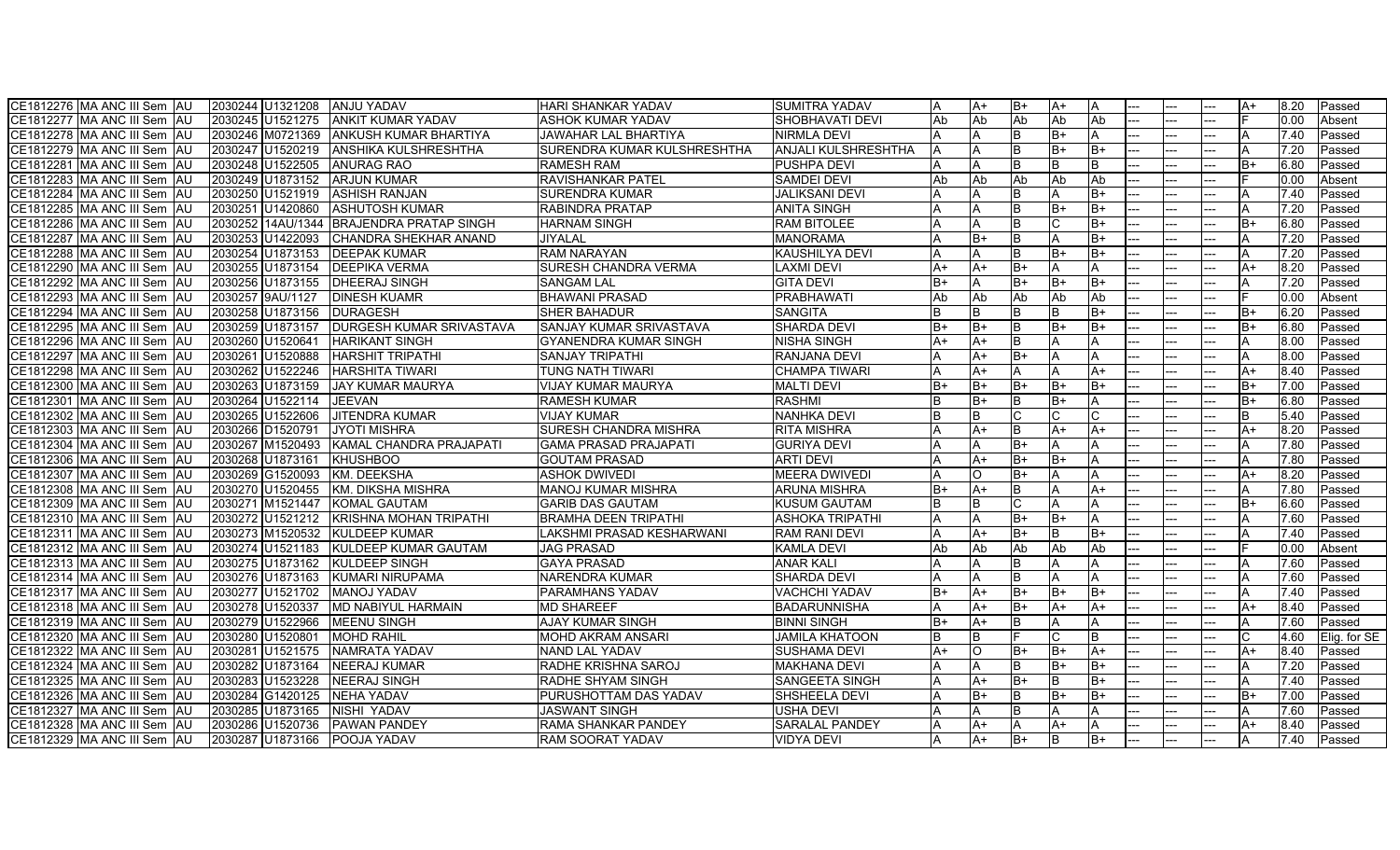| CE1812276 MA ANC III Sem AU<br>2030244 U1321208    | <b>JANJU YADAV</b>            | HARI SHANKAR YADAV           | <b>SUMITRA YADAV</b>       |      | ΙA+            | B+           | IA+       |      |          |     | A+   | 8.20 | Passed       |
|----------------------------------------------------|-------------------------------|------------------------------|----------------------------|------|----------------|--------------|-----------|------|----------|-----|------|------|--------------|
| CE1812277 MA ANC III Sem AU<br>2030245 U1521275    | <b>ANKIT KUMAR YADAV</b>      | ASHOK KUMAR YADAV            | SHOBHAVATI DEVI            | Ab   | Ab             | Ab           | lAb       | Ab   |          |     |      | 0.00 | Absent       |
| CE1812278 MA ANC III Sem AU<br>2030246 M0721369    | ANKUSH KUMAR BHARTIYA         | JAWAHAR LAL BHARTIYA         | <b>NIRMLA DEVI</b>         |      |                | B            | B+        |      |          | --  |      | 7.40 | Passed       |
| CE1812279 MA ANC III Sem AU<br>2030247 U1520219    | <b>ANSHIKA KULSHRESHTHA</b>   | SURENDRA KUMAR KULSHRESHTHA  | <b>ANJALI KULSHRESHTHA</b> | A    | Α              |              | $B+$      | B+   | <u>.</u> |     |      | 7.20 | Passed       |
| CE1812281 MA ANC III Sem AU<br>2030248 U1522505    | <b>ANURAG RAO</b>             | <b>RAMESH RAM</b>            | <b>PUSHPA DEVI</b>         |      |                |              | <b>B</b>  |      |          |     | B+   | 6.80 | Passed       |
| CE1812283 MA ANC III Sem JAU<br>2030249 U1873152   | <b>ARJUN KUMAR</b>            | <b>RAVISHANKAR PATEL</b>     | <b>SAMDEI DEVI</b>         | Ab   | Ab             | Ab           | <b>Ab</b> | Ab   |          |     |      | 0.00 | Absent       |
| 2030250 U1521919<br>CE1812284 MA ANC III Sem AU    | <b>ASHISH RANJAN</b>          | SURENDRA KUMAR               | <b>JALIKSANI DEVI</b>      |      |                |              | ΙA        | B+   |          |     |      | 7.40 | Passed       |
| CE1812285 MA ANC III Sem AU<br>2030251 U1420860    | <b>ASHUTOSH KUMAR</b>         | <b>RABINDRA PRATAP</b>       | <b>ANITA SINGH</b>         |      | A              | R            | lB+       | B+   |          |     | A    | 7.20 | Passed       |
| CE1812286 IMA ANC III Sem IAU                      | <b>BRAJENDRA PRATAP SINGH</b> | HARNAM SINGH                 | <b>RAM BITOLEE</b>         |      |                |              | C         | B+   |          |     | B+   | 6.80 | Passed       |
| CE1812287 MA ANC III Sem AU<br>2030253 U1422093    | <b>CHANDRA SHEKHAR ANAND</b>  | JIYALAL                      | <b>MANORAMA</b>            |      | $B+$           | R            | A         | $B+$ |          |     |      | 7.20 | Passed       |
| CE1812288 MA ANC III Sem AU<br>2030254 U1873153    | <b>DEEPAK KUMAR</b>           | <b>RAM NARAYAN</b>           | KAUSHILYA DEVI             |      | Α              |              | lB+       | $B+$ |          |     |      | 7.20 | Passed       |
| CE1812290 MA ANC III Sem AU<br>2030255 U1873154    | <b>DEEPIKA VERMA</b>          | SURESH CHANDRA VERMA         | <b>LAXMI DEVI</b>          | A+   | $A+$           | B+           | A         |      |          |     | A+   | 8.20 | Passed       |
| 2030256 U1873155<br>CE1812292 MA ANC III Sem AU    | <b>DHEERAJ SINGH</b>          | SANGAM LAL                   | <b>GITA DEVI</b>           | $B+$ | A              | $B+$         | lB+       | lB+  |          |     |      | 7.20 | Passed       |
| CE1812293 MA ANC III Sem AU<br>2030257 9AU/1127    | <b>DINESH KUAMR</b>           | <b>BHAWANI PRASAD</b>        | PRABHAWATI                 | Ab   | Ab             | Ab           | <b>Ab</b> | Ab   |          |     |      | 0.00 | Absent       |
| CE1812294 MA ANC III Sem AU<br>2030258 U1873156    | <b>DURAGESH</b>               | SHER BAHADUR                 | <b>SANGITA</b>             |      |                |              | <b>B</b>  | $B+$ |          |     | B+   | 6.20 | Passed       |
| 2030259 U1873157<br>CE1812295 IMA ANC III Sem IAU  | DURGESH KUMAR SRIVASTAVA      | SANJAY KUMAR SRIVASTAVA      | <b>SHARDA DEVI</b>         | B+   | $B+$           | R            | lB+       | $B+$ |          |     | $B+$ | 6.80 | Passed       |
| CE1812296 IMA ANC III Sem IAU<br>2030260 U1520641  | <b>HARIKANT SINGH</b>         | GYANENDRA KUMAR SINGH        | <b>NISHA SINGH</b>         | A+   | $A+$           |              | ΙA        |      |          |     | A    | 8.00 | Passed       |
| CE1812297 MA ANC III Sem JAU<br>2030261 U1520888   | <b>HARSHIT TRIPATHI</b>       | <b>SANJAY TRIPATHI</b>       | <b>RANJANA DEVI</b>        |      | $A+$           | $B+$         | ΙA        |      |          |     |      | 8.00 | Passed       |
| CE1812298 MA ANC III Sem AU<br>2030262 U1522246    | HARSHITA TIWARI               | TUNG NATH TIWARI             | ICHAMPA TIWARI             |      | ΙA+            |              | ΙA        | A+   |          |     | $A+$ | 8.40 | Passed       |
| 2030263 U1873159<br>CE1812300 MA ANC III Sem AU    | <b>JAY KUMAR MAURYA</b>       | VIJAY KUMAR MAURYA           | <b>MALTI DEVI</b>          | IB+  | B+             | B+           | B+        | IB+  |          |     | B+   | 7.00 | Passed       |
| CE1812301 MA ANC III Sem AU<br>2030264 U1522114    | <b>JEEVAN</b>                 | <b>RAMESH KUMAR</b>          | <b>RASHMI</b>              |      | $B+$           | <sub>B</sub> | lB+       |      |          |     | $B+$ | 6.80 | Passed       |
| CE1812302 MA ANC III Sem AU<br>2030265 U1522606    | <b>JITENDRA KUMAR</b>         | <b>VIJAY KUMAR</b>           | <b>NANHKA DEVI</b>         |      |                |              |           |      | --       |     |      | 5.40 | Passed       |
| 2030266 D1520791<br>CE1812303 MA ANC III Sem AU    | JYOTI MISHRA                  | SURESH CHANDRA MISHRA        | <b>RITA MISHRA</b>         |      | $A+$           | <sub>R</sub> | $A+$      | $A+$ |          |     | $A+$ | 8.20 | Passed       |
| CE1812304 MA ANC III Sem AU<br>2030267 M1520493    | KAMAL CHANDRA PRAJAPATI       | <b>GAMA PRASAD PRAJAPATI</b> | <b>GURIYA DEVI</b>         |      | A              | $B+$         |           |      |          |     |      | 7.80 | Passed       |
| CE1812306 MA ANC III Sem AU<br>2030268 U1873161    | <b>KHUSHBOO</b>               | <b>GOUTAM PRASAD</b>         | <b>ARTI DEVI</b>           |      | $A+$           | B+           | lB+       |      |          |     | А    | 7.80 | Passed       |
| 2030269 G1520093<br>CE1812307 IMA ANC III Sem IAU  | <b>KM. DEEKSHA</b>            | ASHOK DWIVEDI                | <b>IMEERA DWIVEDI</b>      |      | $\Omega$       | B+           | IA        |      |          |     | A+   | 8.20 | Passed       |
| 2030270 U1520455<br>CE1812308 MA ANC III Sem AU    | IKM. DIKSHA MISHRA            | MANOJ KUMAR MISHRA           | <b>ARUNA MISHRA</b>        | B+   | $A+$           | B            | IΑ        | A+   | --       |     | A    | 7.80 | Passed       |
| CE1812309 MA ANC III Sem JAU<br>2030271 M1521447   | <b>KOMAL GAUTAM</b>           | <b>GARIB DAS GAUTAM</b>      | <b>KUSUM GAUTAM</b>        |      | <b>B</b>       |              | A         |      |          |     | B+   | 6.60 | Passed       |
| CE1812310 MA ANC III Sem AU<br>2030272 U1521212    | KRISHNA MOHAN TRIPATHI        | <b>BRAMHA DEEN TRIPATHI</b>  | <b>ASHOKA TRIPATHI</b>     |      | A              | $B+$         | lB+       |      |          |     |      | 7.60 | Passed       |
| 2030273 M1520532<br>CE1812311 MA ANC III Sem AU    | <b>KULDEEP KUMAR</b>          | LAKSHMI PRASAD KESHARWANI    | RAM RANI DEVI              |      | $A+$           | B+           | ΙB        | $B+$ |          |     |      | 7.40 | Passed       |
| CE1812312 MA ANC III Sem AU<br>2030274 U1521183    | KULDEEP KUMAR GAUTAM          | <b>JAG PRASAD</b>            | <b>KAMLA DEVI</b>          | Ab   | Ab             | Ab           | Ab        | Ab   |          |     |      | 0.00 | Absent       |
| CE1812313 MA ANC III Sem AU<br>2030275 U1873162    | <b>KULDEEP SINGH</b>          | GAYA PRASAD                  | <b>ANAR KALI</b>           |      |                |              | A         |      |          |     |      | 7.60 | Passed       |
| CE1812314 MA ANC III Sem AU<br>2030276 U1873163    | KUMARI NIRUPAMA               | <b>NARENDRA KUMAR</b>        | SHARDA DEVI                |      | $\overline{A}$ | <sub>B</sub> | ΙA        |      |          |     |      | 7.60 | Passed       |
| CE1812317 MA ANC III Sem AU<br>2030277 U1521702    | <b>MANOJ YADAV</b>            | PARAMHANS YADAV              | <b>VACHCHI YADAV</b>       | $B+$ | $A+$           | $B+$         | lB+       | B+   |          |     |      | 7.40 | Passed       |
| CE1812318 MA ANC III Sem AU<br>2030278 U1520337    | <b>MD NABIYUL HARMAIN</b>     | <b>MD SHAREEF</b>            | <b>BADARUNNISHA</b>        |      | $A+$           | $B+$         | IA+       | $A+$ |          |     | A+   | 8.40 | Passed       |
| CE1812319 MA ANC III Sem AU<br>2030279 U1522966    | <b>MEENU SINGH</b>            | AJAY KUMAR SINGH             | <b>BINNI SINGH</b>         | $B+$ | $A+$           | B            | A         |      |          |     |      | 7.60 | Passed       |
| 2030280 U1520801<br>CE1812320 IMA ANC III Sem IAU  | MOHD RAHIL                    | MOHD AKRAM ANSARI            | <b>JAMILA KHATOON</b>      | IB.  | R              |              |           |      |          |     |      | 4.60 | Elia. for SE |
| CE1812322 MA ANC III Sem AU<br>U1521575<br>2030281 | <b>NAMRATA YADAV</b>          | <b>NAND LAL YADAV</b>        | <b>SUSHAMA DEVI</b>        | A+   | $\Omega$       | $B+$         | lB+       | $A+$ |          |     | $A+$ | 8.40 | Passed       |
| CE1812324 MA ANC III Sem AU<br>2030282 U1873164    | <b>NEERAJ KUMAR</b>           | RADHE KRISHNA SAROJ          | <b>MAKHANA DEVI</b>        |      | A              |              | B+        | B+   | $- -$    | --  |      | 7.20 | Passed       |
| CE1812325 MA ANC III Sem AU<br>2030283 U1523228    | <b>NEERAJ SINGH</b>           | RADHE SHYAM SINGH            | <b>SANGEETA SINGH</b>      |      | $A+$           | B+           | lΒ        | B+   |          |     | A    | 7.40 | Passed       |
| CE1812326 MA ANC III Sem AU<br>2030284 G1420125    | NEHA YADAV                    | PURUSHOTTAM DAS YADAV        | SHSHEELA DEVI              |      | $B+$           | B            | B+        | B+   |          |     | B+   | 7.00 | Passed       |
| CE1812327 MA ANC III Sem AU<br>2030285 U1873165    | NISHI YADAV                   | JASWANT SINGH                | <b>USHA DEVI</b>           |      | Α              |              | A         |      |          |     |      | 7.60 | Passed       |
| CE1812328 MA ANC III Sem AU<br>2030286 U1520736    | <b>PAWAN PANDEY</b>           | RAMA SHANKAR PANDEY          | <b>SARALAL PANDEY</b>      |      | $A+$           |              | A+        |      |          |     | $A+$ | 8.40 | Passed       |
| CE1812329 MA ANC III Sem AU<br>2030287 U1873166    | <b>POOJA YADAV</b>            | <b>RAM SOORAT YADAV</b>      | <b>VIDYA DEVI</b>          |      | $A+$           | $B+$         | lΒ        | B+   |          | --- | A    | 7.40 | Passed       |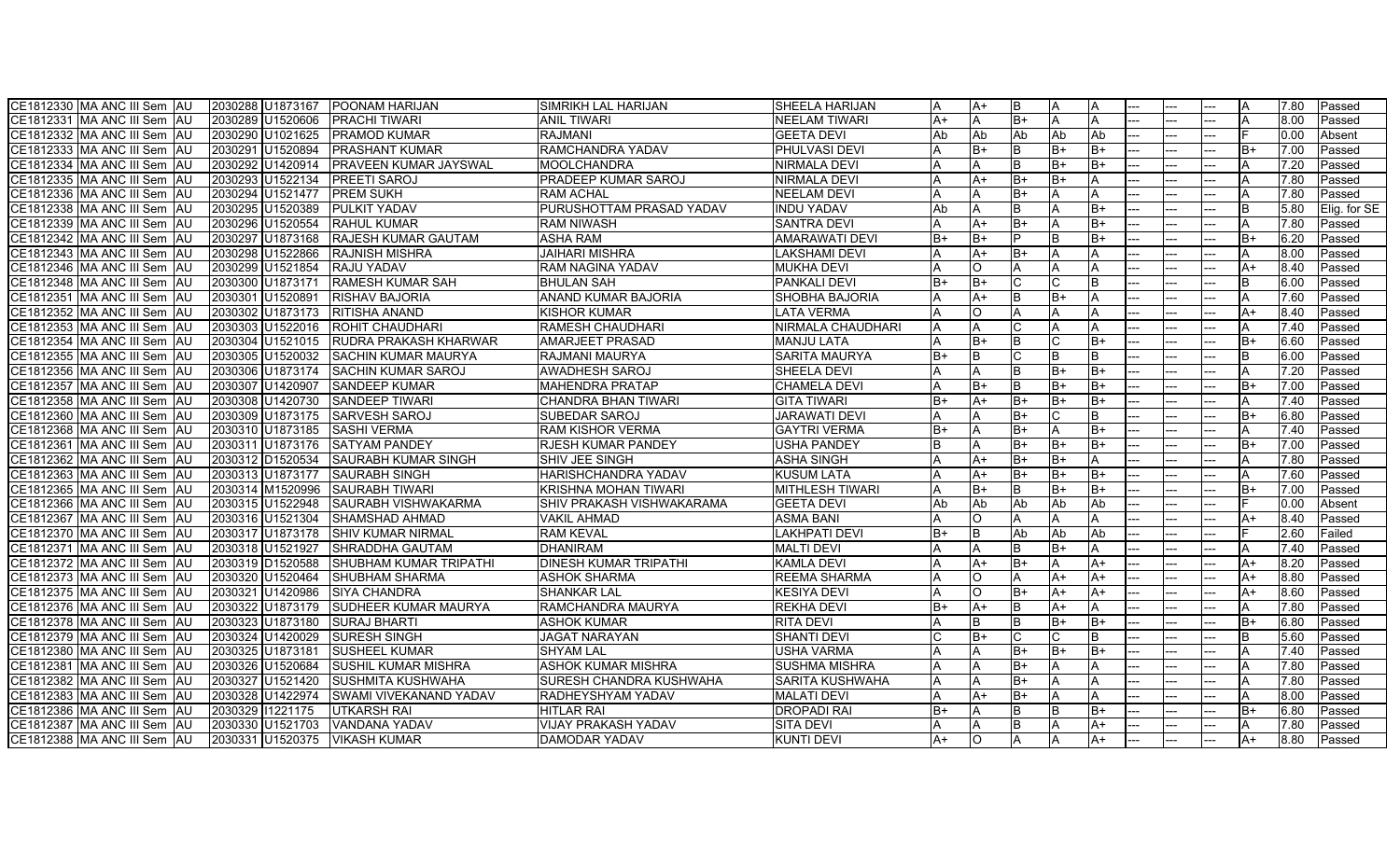| CE1812330 MA ANC III Sem AU   | 2030288 U1873167              | <b>POONAM HARIJAN</b>      | <b>SIMRIKH LAL HARIJAN</b>   | SHEELA HARIJAN         | ΙA   | IA+      | IΒ           | IΑ        |      |          |     |      | 17.80 | lPassed      |
|-------------------------------|-------------------------------|----------------------------|------------------------------|------------------------|------|----------|--------------|-----------|------|----------|-----|------|-------|--------------|
| CE1812331 MA ANC III Sem AU   | 2030289 U1520606              | <b>PRACHI TIWARI</b>       | ANIL TIWARI                  | <b>I</b> NEELAM TIWARI | A+   | A        | $B+$         | I٨        |      |          |     |      | 8.00  | Passed       |
| CE1812332 IMA ANC III Sem IAU | 2030290 U1021625              | <b>PRAMOD KUMAR</b>        | RAJMANI                      | <b>GEETA DEVI</b>      | Ab   | Ab       | Ab           | Ab        | Ab   | $- -$    | --  |      | 0.00  | Absent       |
| CE1812333 MA ANC III Sem AU   | 2030291 U1520894              | <b>PRASHANT KUMAR</b>      | RAMCHANDRA YADAV             | <b>PHULVASI DEVI</b>   |      | $B+$     |              | B+        | $B+$ |          |     | B+   | 7.00  | Passed       |
| CE1812334 MA ANC III Sem AU   | 2030292 U1420914              | PRAVEEN KUMAR JAYSWAL      | <b>MOOLCHANDRA</b>           | <b>NIRMALA DEVI</b>    |      | Α        |              | B+        | B+   | <u>.</u> | --  | А    | 7.20  | Passed       |
| CE1812335 MA ANC III Sem AU   | 2030293 U1522134              | <b>PREETI SAROJ</b>        | PRADEEP KUMAR SAROJ          | <b>NIRMALA DEVI</b>    |      | $A+$     | $B+$         | B+        |      |          |     |      | 7.80  | Passed       |
| CE1812336 MA ANC III Sem AU   | 2030294 U1521477              | <b>PREM SUKH</b>           | <b>RAM ACHAL</b>             | <b>NEELAM DEVI</b>     |      | Α        | $B+$         | ΙA        |      |          |     |      | 7.80  | Passed       |
| CE1812338 MA ANC III Sem AU   | 2030295 U1520389              | PULKIT YADAV               | PURUSHOTTAM PRASAD YADAV     | <b>INDU YADAV</b>      | Ab   |          |              | A         | $B+$ |          |     | IB.  | 5.80  | Elig. for SE |
| CE1812339 MA ANC III Sem JAU  | 2030296 U1520554              | <b>RAHUL KUMAR</b>         | RAM NIWASH                   | <b>SANTRA DEVI</b>     |      | $A+$     | $B+$         |           | $B+$ |          |     |      | 7.80  | Passed       |
| CE1812342 MA ANC III Sem AU   | 2030297 U1873168              | RAJESH KUMAR GAUTAM        | <b>ASHA RAM</b>              | <b>AMARAWATI DEVI</b>  | $B+$ | $B+$     |              | <b>B</b>  | $B+$ |          |     | B+   | 6.20  | Passed       |
| CE1812343 MA ANC III Sem AU   | 2030298 U1522866              | <b>RAJNISH MISHRA</b>      | <b>JAIHARI MISHRA</b>        | LAKSHAMI DEVI          |      | $A+$     | $B+$         | A         |      |          |     |      | 8.00  | Passed       |
| CE1812346 MA ANC III Sem AU   | 2030299 U1521854              | RAJU YADAV                 | RAM NAGINA YADAV             | <b>MUKHA DEVI</b>      |      | lO.      |              |           |      |          |     | A+   | 8.40  | Passed       |
| CE1812348 MA ANC III Sem AU   | 2030300 U1873171              | <b>RAMESH KUMAR SAH</b>    | <b>BHULAN SAH</b>            | <b>PANKALI DEVI</b>    | $B+$ | B+       |              |           |      |          |     |      | 6.00  | Passed       |
| CE1812351 MA ANC III Sem   AU | 2030301 U1520891              | <b>RISHAV BAJORIA</b>      | <b>ANAND KUMAR BAJORIA</b>   | ISHOBHA BAJORIA        |      | $A+$     |              | lB+       |      |          |     |      | 7.60  | Passed       |
| CE1812352 MA ANC III Sem AU   | 2030302 IU1873173             | RITISHA ANAND              | KISHOR KUMAR                 | LATA VERMA             |      | $\Omega$ |              | ΙA        |      |          |     | A+   | 8.40  | Passed       |
| CE1812353 MA ANC III Sem AU   | 2030303 U1522016              | ROHIT CHAUDHARI            | <b>RAMESH CHAUDHARI</b>      | NIRMALA CHAUDHARI      |      |          |              | ΙA        |      |          |     |      | 7.40  | Passed       |
| CE1812354 MA ANC III Sem AU   | 2030304 U1521015              | RUDRA PRAKASH KHARWAR      | <b>AMARJEET PRASAD</b>       | <b>MANJU LATA</b>      |      | $B+$     |              | C         | $B+$ |          |     | B+   | 6.60  | Passed       |
| CE1812355 MA ANC III Sem JAU  | 2030305 U1520032              | <b>SACHIN KUMAR MAURYA</b> | <b>RAJMANI MAURYA</b>        | <b>SARITA MAURYA</b>   | $B+$ | IB.      |              | lΒ        |      |          |     | B.   | 6.00  | Passed       |
| CE1812356 MA ANC III Sem JAU  | 2030306 U1873174              | <b>SACHIN KUMAR SAROJ</b>  | AWADHESH SAROJ               | <b>SHEELA DEVI</b>     |      | Α        | B            | lB+       | lB+  |          |     |      | 7.20  | Passed       |
| CE1812357 MA ANC III Sem JAU  | 2030307 U1420907              | <b>SANDEEP KUMAR</b>       | MAHENDRA PRATAP              | <b>CHAMELA DEVI</b>    |      | $B+$     |              | lB+       | B+   |          |     | B+   | 7.00  | Passed       |
| CE1812358 MA ANC III Sem AU   | 2030308 U1420730              | <b>SANDEEP TIWARI</b>      | CHANDRA BHAN TIWARI          | <b>GITA TIWARI</b>     | B+   | $A+$     | B+           | B+        | lB+  |          |     | IA.  | 7.40  | Passed       |
| CE1812360 MA ANC III Sem AU   | 2030309 U1873175              | <b>SARVESH SAROJ</b>       | SUBEDAR SAROJ                | <b>JARAWATI DEVI</b>   |      |          | $B+$         | C         | B    |          |     | $B+$ | 6.80  | Passed       |
| CE1812368 MA ANC III Sem AU   | 2030310 U1873185              | <b>SASHI VERMA</b>         | <b>RAM KISHOR VERMA</b>      | <b>GAYTRI VERMA</b>    | B+   | A        | B+           | ΙA        | B+   |          |     | Α    | 7.40  | Passed       |
| CE1812361 MA ANC III Sem AU   | 2030311 U1873176              | <b>SATYAM PANDEY</b>       | RJESH KUMAR PANDEY           | <b>USHA PANDEY</b>     | B    | Α        | B+           | lB+       | $B+$ |          |     | B+   | 7.00  | Passed       |
| CE1812362 MA ANC III Sem AU   | 2030312 D1520534              | SAURABH KUMAR SINGH        | SHIV JEE SINGH               | <b>ASHA SINGH</b>      |      | $A+$     | B+           | lB+       |      | --       | --  | A    | 7.80  | Passed       |
| CE1812363 MA ANC III Sem AU   | 2030313 U1873177              | <b>SAURABH SINGH</b>       | HARISHCHANDRA YADAV          | <b>KUSUM LATA</b>      |      | $A+$     | $B+$         | lB+       | lB+  |          |     |      | 7.60  | Passed       |
| CE1812365 MA ANC III Sem AU   | 2030314 M1520996              | <b>SAURABH TIWARI</b>      | <b>KRISHNA MOHAN TIWARI</b>  | <b>MITHLESH TIWARI</b> |      | $B+$     |              | B+        | $B+$ |          |     | $B+$ | 7.00  | Passed       |
| CE1812366 MA ANC III Sem AU   | 2030315 U1522948              | SAURABH VISHWAKARMA        | SHIV PRAKASH VISHWAKARAMA    | <b>GEETA DEVI</b>      | Ab   | Ab       | Ab           | <b>Ab</b> | Ab   |          |     |      | 0.00  | Absent       |
| CE1812367 MA ANC III Sem AU   | 2030316 U1521304              | SHAMSHAD AHMAD             | VAKIL AHMAD                  | ASMA BANI              |      | O        |              |           |      |          |     | A+   | 8.40  | Passed       |
| CE1812370 MA ANC III Sem AU   | 2030317 IU1873178             | <b>SHIV KUMAR NIRMAL</b>   | <b>RAM KEVAL</b>             | <b>LAKHPATI DEVI</b>   | B+   | IB.      | Ab           | Ab        | Ab   |          |     |      | 2.60  | Failed       |
| CE1812371 IMA ANC III Sem IAU | 2030318 U1521927              | SHRADDHA GAUTAM            | <b>DHANIRAM</b>              | <b>MALTI DEVI</b>      |      | Α        |              | lB+       |      |          |     |      | 7.40  | Passed       |
| CE1812372 MA ANC III Sem JAU  | 2030319 D1520588              | SHUBHAM KUMAR TRIPATHI     | <b>DINESH KUMAR TRIPATHI</b> | <b>KAMLA DEVI</b>      |      | $A+$     | B+           | A         | A+   |          |     | $A+$ | 8.20  | Passed       |
| CE1812373 MA ANC III Sem JAU  | 2030320 U1520464              | <b>SHUBHAM SHARMA</b>      | ASHOK SHARMA                 | <b>REEMA SHARMA</b>    |      | lO.      |              | A+        | $A+$ |          |     | $A+$ | 8.80  | Passed       |
| CE1812375 MA ANC III Sem AU   | 2030321 U1420986              | <b>SIYA CHANDRA</b>        | <b>SHANKAR LAL</b>           | <b>KESIYA DEVI</b>     |      | lO.      | B+           | A+        | A+   |          |     | A+   | 8.60  | Passed       |
| CE1812376 MA ANC III Sem AU   | 2030322 U1873179              | SUDHEER KUMAR MAURYA       | RAMCHANDRA MAURYA            | <b>REKHA DEVI</b>      | $B+$ | $A+$     |              | A+        |      |          |     |      | 7.80  | Passed       |
| CE1812378 MA ANC III Sem AU   | 2030323 U1873180              | <b>SURAJ BHARTI</b>        | ASHOK KUMAR                  | <b>RITA DEVI</b>       |      | B        | <sub>B</sub> | $B+$      | $B+$ |          |     | $B+$ | 6.80  | Passed       |
| CE1812379 MA ANC III Sem AU   | 2030324 U1420029              | <b>SURESH SINGH</b>        | <b>JAGAT NARAYAN</b>         | <b>SHANTI DEVI</b>     |      | B+       |              |           |      |          |     |      | 5.60  | Passed       |
| CE1812380 MA ANC III Sem AU   | 2030325 U1873181              | <b>SUSHEEL KUMAR</b>       | SHYAM LAL                    | <b>USHA VARMA</b>      |      |          | $B+$         | lB+       | $B+$ |          |     |      | 7.40  | Passed       |
| CE1812381 MA ANC III Sem AU   | 2030326 U1520684              | SUSHIL KUMAR MISHRA        | <b>ASHOK KUMAR MISHRA</b>    | <b>SUSHMA MISHRA</b>   |      | Α        | $B+$         |           |      |          |     |      | 7.80  | Passed       |
| CE1812382 MA ANC III Sem AU   | 2030327 U1521420              | <b>SUSHMITA KUSHWAHA</b>   | SURESH CHANDRA KUSHWAHA      | <b>SARITA KUSHWAHA</b> | ΙA   | A        | B+           | IΑ        |      |          |     | IA.  | 7.80  | Passed       |
| CE1812383 MA ANC III Sem AU   | 2030328 U1422974              | SWAMI VIVEKANAND YADAV     | RADHEYSHYAM YADAV            | <b>MALATI DEVI</b>     |      | $A+$     | $B+$         |           |      |          |     |      | 8.00  | Passed       |
| CE1812386 MA ANC III Sem AU   | 2030329 11221175              | <b>UTKARSH RAI</b>         | <b>HITLAR RAI</b>            | <b>DROPADI RAI</b>     | B+   |          |              | lΒ        | B+   | --       |     | B+   | 6.80  | Passed       |
| CE1812387 MA ANC III Sem AU   | 2030330 U1521703              | <b>VANDANA YADAV</b>       | VIJAY PRAKASH YADAV          | <b>SITA DEVI</b>       |      | IA.      | <sub>B</sub> | ΙA        | $A+$ |          |     | A    | 7.80  | Passed       |
| CE1812388 MA ANC III Sem AU   | 2030331 U1520375 VIKASH KUMAR |                            | DAMODAR YADAV                | KUNTI DEVI             | A+   | lo.      |              | ΙA        | A+   |          | --- | A+   | 8.80  | Passed       |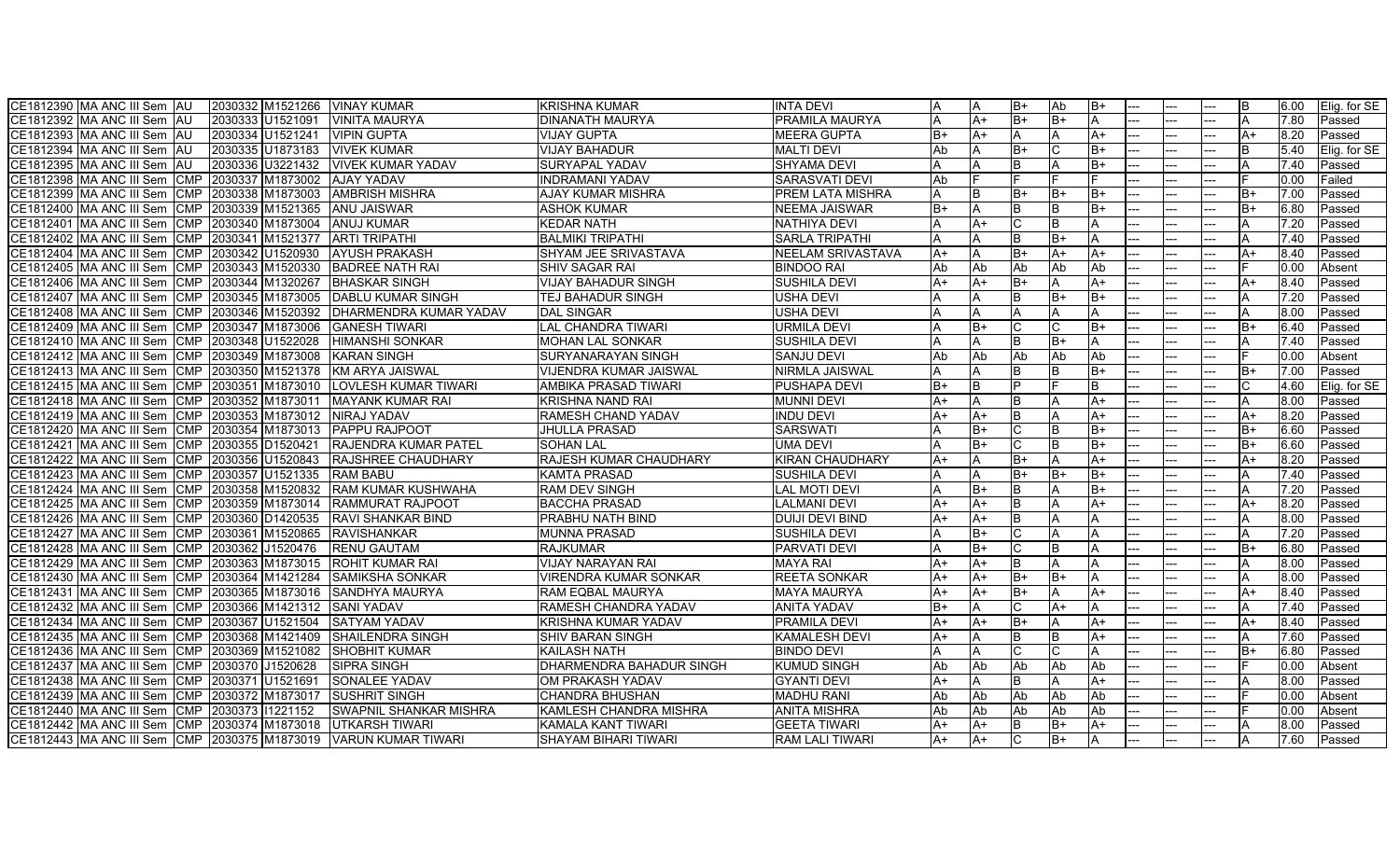| CE1812390 MA ANC III Sem AU<br>2030332 M1521266 VINAY KUMAR      |                                | <b>KRISHNA KUMAR</b>        | <b>INTA DEVI</b>       |      | IΑ         | $B+$     | l Ab | IB+  |         |       | R    | 6.00 | Elig. for SE |
|------------------------------------------------------------------|--------------------------------|-----------------------------|------------------------|------|------------|----------|------|------|---------|-------|------|------|--------------|
| ICE1812392 IMA ANC III Sem IAU<br>2030333<br>U1521091            | <b>VINITA MAURYA</b>           | <b>DINANATH MAURYA</b>      | <b>PRAMILA MAURYA</b>  |      | A+         | $B+$     | lB+  |      |         |       |      | 7.80 | Passed       |
| 2030334<br>U1521241<br>CE1812393 MA ANC III Sem AU               | <b>VIPIN GUPTA</b>             | <b>VIJAY GUPTA</b>          | <b>MEERA GUPTA</b>     | $B+$ | lA+        | A        | IΑ   | A+   |         |       | A+   | 8.20 | Passed       |
| 2030335 U1873183<br>CE1812394 MA ANC III Sem AU                  | <b>VIVEK KUMAR</b>             | <b>VIJAY BAHADUR</b>        | <b>MALTI DEVI</b>      | Ab   | IΑ         | $B+$     |      | IB+  |         |       | B.   | 5.40 | Elig. for SE |
| CE1812395 MA ANC III Sem<br>IAU<br>2030336<br>U3221432           | <b>VIVEK KUMAR YADAV</b>       | SURYAPAL YADAV              | <b>SHYAMA DEVI</b>     |      | ΙA         | B        |      | B+   |         |       |      | 7.40 | Passed       |
| CE1812398 MA ANC III Sem CMP<br>2030337 M1873002                 | <b>AJAY YADAV</b>              | <b>INDRAMANI YADAV</b>      | SARASVATI DEVI         | Ab   |            |          |      |      |         |       |      | 0.00 | Failed       |
| <b>CMP</b><br>2030338 M1873003<br>CE1812399 IMA ANC Ⅲ Sem        | <b>AMBRISH MISHRA</b>          | AJAY KUMAR MISHRA           | PREM LATA MISHRA       |      | lΒ         | $B+$     | lB+  | B+   |         |       | B+   | 7.00 | Passed       |
| CE1812400  MA ANC III Sem  CMP  2030339  M1521365                | <b>ANU JAISWAR</b>             | <b>ASHOK KUMAR</b>          | <b>NEEMA JAISWAR</b>   | IB+  | I٨         | R        | lв   | B+   |         |       | $B+$ | 6.80 | Passed       |
| CE1812401 IMA ANC III Sem ICMP<br>2030340 M1873004               | <b>ANUJ KUMAR</b>              | KEDAR NATH                  | <b>NATHIYA DEVI</b>    |      | IA+        |          | ΙB   |      |         |       |      | 7.20 | Passed       |
| <b>CMP</b><br>2030341<br>M1521377<br>CE1812402 MA ANC III Sem    | <b>ARTI TRIPATHI</b>           | <b>BALMIKI TRIPATHI</b>     | <b>SARLA TRIPATHI</b>  |      | IΑ         |          | B+   |      |         |       |      | 7.40 | Passed       |
| CE1812404  MA ANC III Sem  CMP  2030342<br>U1520930              | <b>JAYUSH PRAKASH</b>          | SHYAM JEE SRIVASTAVA        | NEELAM SRIVASTAVA      | A+   | IА.        | $B+$     | A+   | $A+$ |         |       | A+   | 8.40 | Passed       |
| CE1812405 MA ANC III Sem CMP 2030343<br>M1520330                 | <b>BADREE NATH RAI</b>         | <b>SHIV SAGAR RAI</b>       | <b>BINDOO RAI</b>      | Ab   | Ab         | Ab       | Ab   | Ab   |         |       |      | 0.00 | Absent       |
| CE1812406 MA ANC III Sem CMP 2030344 M1320267                    | <b>BHASKAR SINGH</b>           | <b>VIJAY BAHADUR SINGH</b>  | <b>SUSHILA DEVI</b>    | $A+$ | IA+        | $B+$     |      | $A+$ |         |       | A+   | 8.40 | Passed       |
| CE1812407 MA ANC III Sem CMP 2030345 M1873005                    | <b>IDABLU KUMAR SINGH</b>      | TEJ BAHADUR SINGH           | USHA DEVI              |      |            | R        | lB+  | IB+  |         |       |      | 7.20 | Passed       |
| CE1812408 MA ANC III Sem CMP 2030346 M1520392                    | <b>IDHARMENDRA KUMAR YADAV</b> | <b>DAL SINGAR</b>           | <b>USHA DEVI</b>       |      | ΙA         |          |      |      |         |       | A    | 8.00 | Passed       |
| ICE1812409 IMA ANC III Sem ICMP I2030347 IM1873006               | IGANESH TIWARI                 | LAL CHANDRA TIWARI          | JRMILA DEVI            |      | IB+        |          |      | B+   |         |       | B+   | 6.40 | Passed       |
| 2030348<br>U1522028<br>CE1812410 IMA ANC III Sem ICMP_           | IHIMANSHI SONKAR               | <b>MOHAN LAL SONKAR</b>     | <b>SUSHILA DEVI</b>    |      | IA.        | B        | lB+  |      |         |       |      | 7.40 | Passed       |
| ICE1812412 IMA ANC III Sem ICMP 12030349 IM1873008               | <b>KARAN SINGH</b>             | <b>SURYANARAYAN SINGH</b>   | <b>SANJU DEVI</b>      | Ab   | l Ab       | Ab       | Ab   | Ab   |         |       |      | 0.00 | Absent       |
| CE1812413 MA ANC III Sem CMP 2030350 M1521378                    | KM ARYA JAISWAL                | VIJENDRA KUMAR JAISWAL      | NIRMLA JAISWAL         |      | IΑ         | R        | ΙB   | IB+  |         |       | B+   | 7.00 | Passed       |
| CE1812415 MA ANC III Sem CMP 2030351 M1873010                    | <b>ILOVLESH KUMAR TIWARI</b>   | <b>AMBIKA PRASAD TIWARI</b> | <b>PUSHAPA DEVI</b>    | B+   | Iв         |          |      | B    |         |       | C    | 4.60 | Elig. for SE |
| CE1812418 MA ANC III Sem CMP 2030352 M1873011                    | <b>MAYANK KUMAR RAI</b>        | <b>KRISHNA NAND RAI</b>     | <b>MUNNI DEVI</b>      | $A+$ | İΑ         | B        |      | $A+$ |         |       |      | 8.00 | Passed       |
| CE1812419 MA ANC III Sem CMP 2030353<br>M1873012                 | NIRAJ YADAV                    | RAMESH CHAND YADAV          | <b>INDU DEVI</b>       | $A+$ | A+         | <b>B</b> |      | $A+$ |         |       | $A+$ | 8.20 | Passed       |
| CE1812420 MA ANC III Sem CMP 2030354 M1873013                    | <b>PAPPU RAJPOOT</b>           | <b>JHULLA PRASAD</b>        | <b>SARSWATI</b>        |      | B+         | ІС       | IB   | $B+$ |         |       | B+   | 6.60 | Passed       |
| CE1812421 MA ANC III Sem CMP<br>2030355 D1520421                 | <b>RAJENDRA KUMAR PATEL</b>    | <b>SOHAN LAL</b>            | UMA DEVI               |      | lB+        | C        | Iв   | lB+  |         |       | B+   | 6.60 | Passed       |
| CE1812422 MA ANC III Sem<br>CMP 2030356<br>U1520843              | <b>RAJSHREE CHAUDHARY</b>      | RAJESH KUMAR CHAUDHARY      | <b>KIRAN CHAUDHARY</b> | $A+$ | IΑ         | $B+$     |      | $A+$ |         |       | $A+$ | 8.20 | Passed       |
| CE1812423 MA ANC III Sem CMP 2030357 U1521335                    | <b>RAM BABU</b>                | KAMTA PRASAD                | <b>SUSHILA DEVI</b>    |      | ΙA         | $B+$     | lB+  | B+   |         |       |      | 7.40 | Passed       |
| CE1812424 MA ANC III Sem CMP 2030358 M1520832 RAM KUMAR KUSHWAHA |                                | <b>RAM DEV SINGH</b>        | <b>LAL MOTI DEVI</b>   |      | IB+        | B        |      | B+   |         |       | A    | 7.20 | Passed       |
| CE1812425 MA ANC III Sem CMP 2030359 M1873014                    | <b>RAMMURAT RAJPOOT</b>        | <b>BACCHA PRASAD</b>        | <b>LALMANI DEVI</b>    | $A+$ | $A+$       | <b>B</b> |      | $A+$ |         |       | $A+$ | 8.20 | Passed       |
| ICE1812426 IMA ANC III Sem ICMP 12030360 ID1420535               | <b>RAVI SHANKAR BIND</b>       | PRABHU NATH BIND            | <b>DUIJI DEVI BIND</b> | A+   | IA+        | <b>B</b> |      |      |         |       |      | 8.00 | Passed       |
| CE1812427 MA ANC III Sem<br>CMP 2030361<br>M1520865              | <b>RAVISHANKAR</b>             | <b>MUNNA PRASAD</b>         | <b>SUSHILA DEVI</b>    |      | lB+        |          |      |      |         |       |      | 7.20 | Passed       |
| CE1812428 IMA ANC III Sem ICMP I2030362 IJ1520476 .              | <b>IRENU GAUTAM</b>            | <b>RAJKUMAR</b>             | PARVATI DEVI           |      | IB+        |          | IB   |      |         |       | $B+$ | 6.80 | Passed       |
| ICE1812429 IMA ANC III Sem ICMP 12030363 IM1873015               | <b>ROHIT KUMAR RAI</b>         | VIJAY NARAYAN RAI           | MAYA RAI               | A+   | A+         |          |      |      |         |       |      | 8.00 | Passed       |
| CE1812430  MA ANC III Sem  CMP  2030364  M1421284                | <b>SAMIKSHA SONKAR</b>         | VIRENDRA KUMAR SONKAR       | <b>REETA SONKAR</b>    | A+   | A+         | $B+$     | lB+  |      |         |       |      | 8.00 | Passed       |
| CE1812431 MA ANC III Sem CMP 2030365 M1873016                    | <b>SANDHYA MAURYA</b>          | RAM EQBAL MAURYA            | <b>MAYA MAURYA</b>     | $A+$ | A+         | $B+$     |      | $A+$ |         |       | A+   | 8.40 | Passed       |
| CE1812432 MA ANC III Sem CMP 2030366 M1421312                    | <b>SANI YADAV</b>              | RAMESH CHANDRA YADAV        | <b>ANITA YADAV</b>     | $B+$ | I٨         |          | A+   |      |         |       | A    | 7.40 | Passed       |
| CE1812434 MA ANC III Sem CMP 2030367 U1521504                    | ISATYAM YADAV                  | KRISHNA KUMAR YADAV         | <b>PRAMILA DEVI</b>    | A+   | lA+        | $B+$     |      | $A+$ |         |       | A+   | 8.40 | Passed       |
| CE1812435  MA ANC III Sem_<br>CMP 2030368<br>M1421409            | ISHAILENDRA SINGH              | <b>SHIV BARAN SINGH</b>     | <b>KAMALESH DEVI</b>   | A+   | IΑ         | B        | IB   | A+   |         |       | IA.  | 7.60 | Passed       |
| CE1812436 MA ANC III Sem CMP 2030369 M1521082                    | <b>SHOBHIT KUMAR</b>           | KAILASH NATH                | <b>BINDO DEVI</b>      |      | ΙA         |          |      |      |         |       | B+   | 6.80 | Passed       |
| 2030370 J1520628<br>CE1812437 MA ANC III Sem CMP                 | <b>SIPRA SINGH</b>             | DHARMENDRA BAHADUR SINGH    | <b>KUMUD SINGH</b>     | Ab   | <b>Ab</b>  | Ab       | Ab   | Ab   |         |       |      | 0.00 | Absent       |
| CE1812438 MA ANC III Sem CMP 2030371 U1521691                    | <b>SONALEE YADAV</b>           | OM PRAKASH YADAV            | <b>GYANTI DEVI</b>     | $A+$ | ΙA         | <b>B</b> | IΔ   | $A+$ |         |       |      | 8.00 | Passed       |
| CE1812439 MA ANC III Sem CMP 2030372 M1873017                    | <b>ISUSHRIT SINGH</b>          | <b>CHANDRA BHUSHAN</b>      | <b>MADHU RANI</b>      | Ab   | <b>JAb</b> | Ab       | Ab   | Ab   |         |       |      | 0.00 | Absent       |
| CE1812440 MA ANC III Sem CMP 2030373 11221152                    | <b>SWAPNIL SHANKAR MISHRA</b>  | KAMLESH CHANDRA MISHRA      | <b>ANITA MISHRA</b>    | Ab   | Ab         | Ab       | Ab   | Ab   |         |       |      | 0.00 | Absent       |
| ICE1812442 IMA ANC III Sem ICMP I2030374 IM1873018               | <b>UTKARSH TIWARI</b>          | KAMALA KANT TIWARI          | <b>GEETA TIWARI</b>    | A+   | IA+        | B        | B+   | A+   |         |       |      | 8.00 | Passed       |
| CE1812443 MA ANC III Sem CMP 2030375 M1873019 VARUN KUMAR TIWARI |                                | <b>SHAYAM BIHARI TIWARI</b> | RAM LALI TIWARI        | A+   | A+         |          | IB+  |      | <br>--- | $---$ |      | 7.60 | Passed       |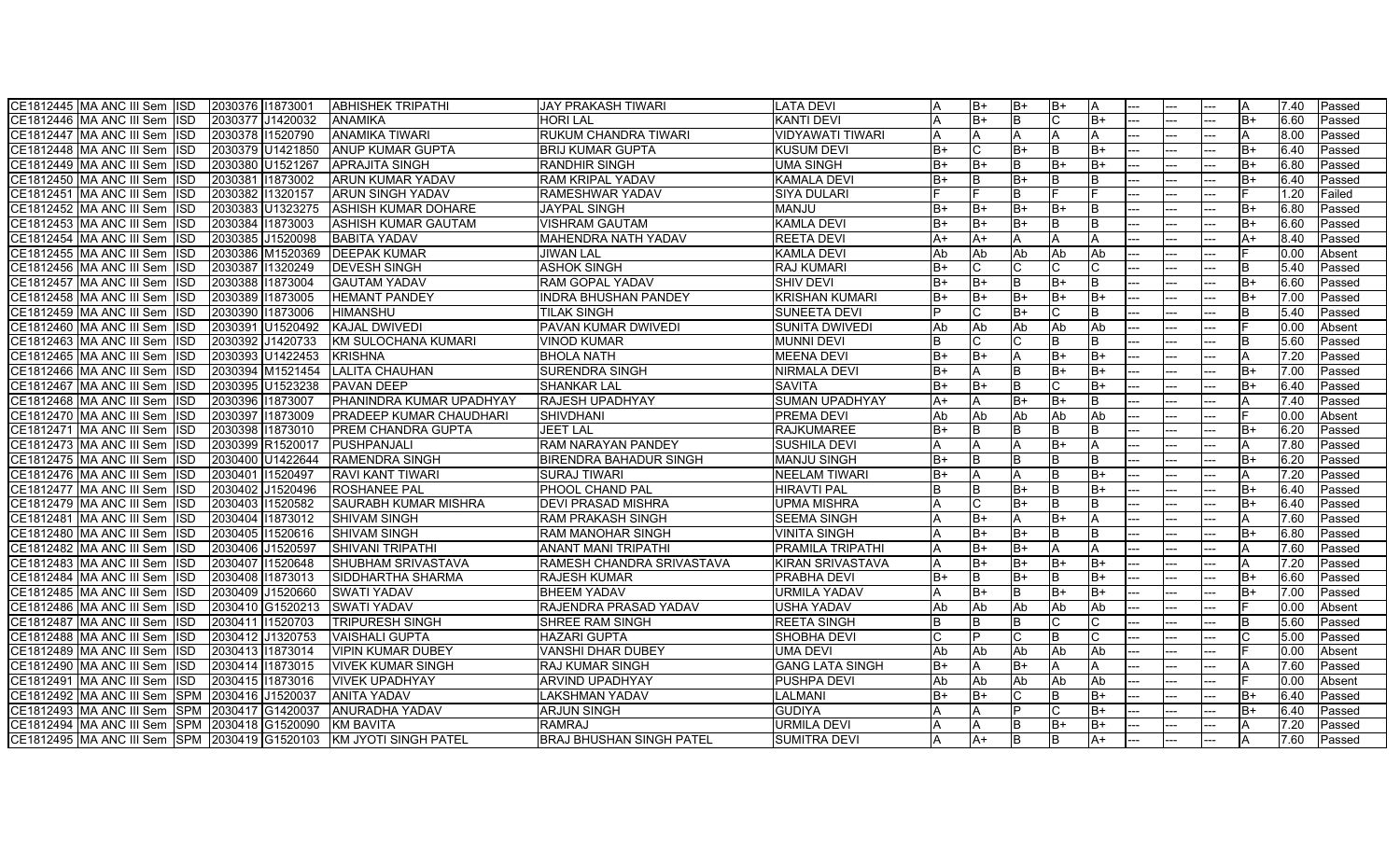| CE1812446 MA ANC III Sem ISD<br>2030377 J1420032<br><b>ANAMIKA</b><br>HORI LAL<br><b>KANTI DEVI</b><br>B+<br><b>B</b><br>$B+$<br>6.60<br>B+<br>Passed<br>$- -$<br>2030378 11520790<br><b>ANAMIKA TIWARI</b><br><b>RUKUM CHANDRA TIWARI</b><br>CE1812447 MA ANC III Sem ISD<br>VIDYAWATI TIWARI<br>8.00<br>A<br>A<br>IΑ<br>Passed<br>A<br>A<br>CE1812448 MA ANC III Sem ISD<br>2030379 U1421850<br><b>IANUP KUMAR GUPTA</b><br><b>BRIJ KUMAR GUPTA</b><br><b>KUSUM DEVI</b><br>$B+$<br>C<br>$B+$<br>$B+$<br>6.40<br>Passed<br>$B+$<br>CE1812449 MA ANC III Sem ISD<br>2030380 U1521267<br><b>APRAJITA SINGH</b><br>RANDHIR SINGH<br><b>UMA SINGH</b><br>$B+$<br>B+<br>B+<br>B<br>B+<br>B+<br>6.80<br>Passed<br>--<br>---<br>CE1812450 MA ANC III Sem ISD<br>2030381 1873002<br><b>ARUN KUMAR YADAV</b><br>RAM KRIPAL YADAV<br>B+<br>B+<br>6.40<br><b>KAMALA DEVI</b><br>B+<br><b>B</b><br>Passed<br>2030382 1320157<br><b>ARUN SINGH YADAV</b><br>B.<br>1.20<br>CE1812451 MA ANC III Sem ISD<br>RAMESHWAR YADAV<br><b>SIYA DULARI</b><br>Failed<br>2030383 U1323275<br>CE1812452 MA ANC III Sem ISD<br>ASHISH KUMAR DOHARE<br><b>JAYPAL SINGH</b><br><b>MANJU</b><br>$B+$<br>IB+<br>B+<br>B+<br>B+<br>6.80<br>Passed<br>CE1812453 MA ANC III Sem ISD<br>2030384 11873003<br>ASHISH KUMAR GAUTAM<br>VISHRAM GAUTAM<br><b>KAMLA DEVI</b><br>$B+$<br>B+<br>B+<br>6.60<br>$B+$<br>Passed<br>$A+$<br>CE1812454 MA ANC III Sem ISD<br>2030385 J1520098<br><b>BABITA YADAV</b><br>MAHENDRA NATH YADAV<br><b>REETA DEVI</b><br>A+<br>8.40<br>A+<br>Passed<br>Ab<br>Ab<br>CE1812455 MA ANC III Sem ISD<br>2030386 M1520369<br><b>DEEPAK KUMAR</b><br><b>JIWAN LAL</b><br><b>KAMLA DEVI</b><br>Ab<br>Ab<br>Ab<br>Absent<br>0.00<br>CE1812456 MA ANC III Sem ISD<br>2030387 1320249<br><b>DEVESH SINGH</b><br><b>ASHOK SINGH</b><br><b>RAJ KUMARI</b><br>B+<br>5.40<br>Passed<br>B+<br>CE1812457 MA ANC III Sem ISD<br>2030388 11873004<br>l B<br>$B+$<br>$B+$<br><b>GAUTAM YADAV</b><br>RAM GOPAL YADAV<br><b>SHIV DEVI</b><br>B+<br>6.60<br>Passed<br>2030389 11873005<br><b>HEMANT PANDEY</b><br><b>INDRA BHUSHAN PANDEY</b><br>lB+<br>CE1812458 MA ANC III Sem ISD<br>IKRISHAN KUMARI<br>B+<br>B+<br>$B+$<br>lB+<br>B+<br>7.00<br>Passed<br>CE1812459 MA ANC III Sem ISD<br>2030390 11873006<br>HIMANSHU<br>TILAK SINGH<br>ISUNEETA DEVI<br>$B+$<br>R<br>5.40<br>Passed<br>--<br><u>.</u> |
|-----------------------------------------------------------------------------------------------------------------------------------------------------------------------------------------------------------------------------------------------------------------------------------------------------------------------------------------------------------------------------------------------------------------------------------------------------------------------------------------------------------------------------------------------------------------------------------------------------------------------------------------------------------------------------------------------------------------------------------------------------------------------------------------------------------------------------------------------------------------------------------------------------------------------------------------------------------------------------------------------------------------------------------------------------------------------------------------------------------------------------------------------------------------------------------------------------------------------------------------------------------------------------------------------------------------------------------------------------------------------------------------------------------------------------------------------------------------------------------------------------------------------------------------------------------------------------------------------------------------------------------------------------------------------------------------------------------------------------------------------------------------------------------------------------------------------------------------------------------------------------------------------------------------------------------------------------------------------------------------------------------------------------------------------------------------------------------------------------------------------------------------------------------------------------------------------------------------------------------------------------------------------------------------------------------------------------------------------------------------------------------|
|                                                                                                                                                                                                                                                                                                                                                                                                                                                                                                                                                                                                                                                                                                                                                                                                                                                                                                                                                                                                                                                                                                                                                                                                                                                                                                                                                                                                                                                                                                                                                                                                                                                                                                                                                                                                                                                                                                                                                                                                                                                                                                                                                                                                                                                                                                                                                                                   |
|                                                                                                                                                                                                                                                                                                                                                                                                                                                                                                                                                                                                                                                                                                                                                                                                                                                                                                                                                                                                                                                                                                                                                                                                                                                                                                                                                                                                                                                                                                                                                                                                                                                                                                                                                                                                                                                                                                                                                                                                                                                                                                                                                                                                                                                                                                                                                                                   |
|                                                                                                                                                                                                                                                                                                                                                                                                                                                                                                                                                                                                                                                                                                                                                                                                                                                                                                                                                                                                                                                                                                                                                                                                                                                                                                                                                                                                                                                                                                                                                                                                                                                                                                                                                                                                                                                                                                                                                                                                                                                                                                                                                                                                                                                                                                                                                                                   |
|                                                                                                                                                                                                                                                                                                                                                                                                                                                                                                                                                                                                                                                                                                                                                                                                                                                                                                                                                                                                                                                                                                                                                                                                                                                                                                                                                                                                                                                                                                                                                                                                                                                                                                                                                                                                                                                                                                                                                                                                                                                                                                                                                                                                                                                                                                                                                                                   |
|                                                                                                                                                                                                                                                                                                                                                                                                                                                                                                                                                                                                                                                                                                                                                                                                                                                                                                                                                                                                                                                                                                                                                                                                                                                                                                                                                                                                                                                                                                                                                                                                                                                                                                                                                                                                                                                                                                                                                                                                                                                                                                                                                                                                                                                                                                                                                                                   |
|                                                                                                                                                                                                                                                                                                                                                                                                                                                                                                                                                                                                                                                                                                                                                                                                                                                                                                                                                                                                                                                                                                                                                                                                                                                                                                                                                                                                                                                                                                                                                                                                                                                                                                                                                                                                                                                                                                                                                                                                                                                                                                                                                                                                                                                                                                                                                                                   |
|                                                                                                                                                                                                                                                                                                                                                                                                                                                                                                                                                                                                                                                                                                                                                                                                                                                                                                                                                                                                                                                                                                                                                                                                                                                                                                                                                                                                                                                                                                                                                                                                                                                                                                                                                                                                                                                                                                                                                                                                                                                                                                                                                                                                                                                                                                                                                                                   |
|                                                                                                                                                                                                                                                                                                                                                                                                                                                                                                                                                                                                                                                                                                                                                                                                                                                                                                                                                                                                                                                                                                                                                                                                                                                                                                                                                                                                                                                                                                                                                                                                                                                                                                                                                                                                                                                                                                                                                                                                                                                                                                                                                                                                                                                                                                                                                                                   |
|                                                                                                                                                                                                                                                                                                                                                                                                                                                                                                                                                                                                                                                                                                                                                                                                                                                                                                                                                                                                                                                                                                                                                                                                                                                                                                                                                                                                                                                                                                                                                                                                                                                                                                                                                                                                                                                                                                                                                                                                                                                                                                                                                                                                                                                                                                                                                                                   |
|                                                                                                                                                                                                                                                                                                                                                                                                                                                                                                                                                                                                                                                                                                                                                                                                                                                                                                                                                                                                                                                                                                                                                                                                                                                                                                                                                                                                                                                                                                                                                                                                                                                                                                                                                                                                                                                                                                                                                                                                                                                                                                                                                                                                                                                                                                                                                                                   |
|                                                                                                                                                                                                                                                                                                                                                                                                                                                                                                                                                                                                                                                                                                                                                                                                                                                                                                                                                                                                                                                                                                                                                                                                                                                                                                                                                                                                                                                                                                                                                                                                                                                                                                                                                                                                                                                                                                                                                                                                                                                                                                                                                                                                                                                                                                                                                                                   |
|                                                                                                                                                                                                                                                                                                                                                                                                                                                                                                                                                                                                                                                                                                                                                                                                                                                                                                                                                                                                                                                                                                                                                                                                                                                                                                                                                                                                                                                                                                                                                                                                                                                                                                                                                                                                                                                                                                                                                                                                                                                                                                                                                                                                                                                                                                                                                                                   |
|                                                                                                                                                                                                                                                                                                                                                                                                                                                                                                                                                                                                                                                                                                                                                                                                                                                                                                                                                                                                                                                                                                                                                                                                                                                                                                                                                                                                                                                                                                                                                                                                                                                                                                                                                                                                                                                                                                                                                                                                                                                                                                                                                                                                                                                                                                                                                                                   |
|                                                                                                                                                                                                                                                                                                                                                                                                                                                                                                                                                                                                                                                                                                                                                                                                                                                                                                                                                                                                                                                                                                                                                                                                                                                                                                                                                                                                                                                                                                                                                                                                                                                                                                                                                                                                                                                                                                                                                                                                                                                                                                                                                                                                                                                                                                                                                                                   |
| CE1812460 MA ANC III Sem ISD<br><b>KAJAL DWIVEDI</b><br>2030391 U1520492<br>PAVAN KUMAR DWIVEDI<br>SUNITA DWIVEDI<br>Ab<br>Ab<br>Ab<br><b>Ab</b><br>Absent<br>Ab<br>0.00                                                                                                                                                                                                                                                                                                                                                                                                                                                                                                                                                                                                                                                                                                                                                                                                                                                                                                                                                                                                                                                                                                                                                                                                                                                                                                                                                                                                                                                                                                                                                                                                                                                                                                                                                                                                                                                                                                                                                                                                                                                                                                                                                                                                          |
| 2030392 J1420733<br>C<br>CE1812463 IMA ANC III Sem IISD<br>KM SULOCHANA KUMARI<br>VINOD KUMAR<br><b>MUNNI DEVI</b><br>5.60<br>Passed                                                                                                                                                                                                                                                                                                                                                                                                                                                                                                                                                                                                                                                                                                                                                                                                                                                                                                                                                                                                                                                                                                                                                                                                                                                                                                                                                                                                                                                                                                                                                                                                                                                                                                                                                                                                                                                                                                                                                                                                                                                                                                                                                                                                                                              |
| CE1812465 MA ANC III Sem ISD<br>2030393 U1422453<br>KRISHNA<br><b>BHOLA NATH</b><br><b>MEENA DEVI</b><br>$R+$<br>IB+<br>B+<br>lB+<br>7.20<br>Passed<br><u>.</u>                                                                                                                                                                                                                                                                                                                                                                                                                                                                                                                                                                                                                                                                                                                                                                                                                                                                                                                                                                                                                                                                                                                                                                                                                                                                                                                                                                                                                                                                                                                                                                                                                                                                                                                                                                                                                                                                                                                                                                                                                                                                                                                                                                                                                   |
| CE1812466 MA ANC III Sem ISD<br>2030394 M1521454<br><b>LALITA CHAUHAN</b><br>SURENDRA SINGH<br><b>NIRMALA DEVI</b><br>$B+$<br>B<br>lB+<br>lB+<br>$B+$<br>7.00<br>A<br>Passed                                                                                                                                                                                                                                                                                                                                                                                                                                                                                                                                                                                                                                                                                                                                                                                                                                                                                                                                                                                                                                                                                                                                                                                                                                                                                                                                                                                                                                                                                                                                                                                                                                                                                                                                                                                                                                                                                                                                                                                                                                                                                                                                                                                                      |
| CE1812467 MA ANC III Sem ISD<br>2030395 U1523238<br>PAVAN DEEP<br><b>SHANKAR LAL</b><br>$B+$<br>IB+<br><b>SAVITA</b><br>IB.<br>$B+$<br>B+<br>6.40<br>Passed                                                                                                                                                                                                                                                                                                                                                                                                                                                                                                                                                                                                                                                                                                                                                                                                                                                                                                                                                                                                                                                                                                                                                                                                                                                                                                                                                                                                                                                                                                                                                                                                                                                                                                                                                                                                                                                                                                                                                                                                                                                                                                                                                                                                                       |
| CE1812468 MA ANC III Sem ISD<br>PHANINDRA KUMAR UPADHYAY<br><b>SUMAN UPADHYAY</b><br>$B+$<br>B+<br>2030396 11873007<br><b>RAJESH UPADHYAY</b><br>$A+$<br>7.40<br>Passed                                                                                                                                                                                                                                                                                                                                                                                                                                                                                                                                                                                                                                                                                                                                                                                                                                                                                                                                                                                                                                                                                                                                                                                                                                                                                                                                                                                                                                                                                                                                                                                                                                                                                                                                                                                                                                                                                                                                                                                                                                                                                                                                                                                                           |
| CE1812470 MA ANC III Sem ISD<br>2030397<br>11873009<br>PRADEEP KUMAR CHAUDHARI<br><b>SHIVDHANI</b><br><b>PREMA DEVI</b><br>Ab<br>Ab<br>Ab<br>Ab<br>Ab<br>0.OC<br>Absent<br>--                                                                                                                                                                                                                                                                                                                                                                                                                                                                                                                                                                                                                                                                                                                                                                                                                                                                                                                                                                                                                                                                                                                                                                                                                                                                                                                                                                                                                                                                                                                                                                                                                                                                                                                                                                                                                                                                                                                                                                                                                                                                                                                                                                                                     |
| 2030398 11873010<br>$B+$<br>6.20<br>CE1812471 MA ANC III Sem ISD<br>PREM CHANDRA GUPTA<br><b>JEET LAL</b><br><b>RAJKUMAREE</b><br><b>B</b><br><b>B</b><br>$B+$<br>Passed                                                                                                                                                                                                                                                                                                                                                                                                                                                                                                                                                                                                                                                                                                                                                                                                                                                                                                                                                                                                                                                                                                                                                                                                                                                                                                                                                                                                                                                                                                                                                                                                                                                                                                                                                                                                                                                                                                                                                                                                                                                                                                                                                                                                          |
| CE1812473 MA ANC III Sem ISD<br>2030399 R1520017<br>PUSHPANJALI<br>RAM NARAYAN PANDEY<br><b>SUSHILA DEVI</b><br>B+<br>7.80<br>A<br>Passed<br>A                                                                                                                                                                                                                                                                                                                                                                                                                                                                                                                                                                                                                                                                                                                                                                                                                                                                                                                                                                                                                                                                                                                                                                                                                                                                                                                                                                                                                                                                                                                                                                                                                                                                                                                                                                                                                                                                                                                                                                                                                                                                                                                                                                                                                                    |
| CE1812475 MA ANC III Sem ISD<br><b>RAMENDRA SINGH</b><br>2030400 U1422644<br><b>BIRENDRA BAHADUR SINGH</b><br><b>MANJU SINGH</b><br>B+<br>$B+$<br>6.20<br><b>B</b><br>Passed                                                                                                                                                                                                                                                                                                                                                                                                                                                                                                                                                                                                                                                                                                                                                                                                                                                                                                                                                                                                                                                                                                                                                                                                                                                                                                                                                                                                                                                                                                                                                                                                                                                                                                                                                                                                                                                                                                                                                                                                                                                                                                                                                                                                      |
| <b>I</b> B<br>CE1812476 MA ANC III Sem ISD<br>2030401 1520497<br>RAVI KANT TIWARI<br>SURAJ TIWARI<br><b>NEELAM TIWARI</b><br>$B+$<br>B+<br>7.20<br>Passed<br>A                                                                                                                                                                                                                                                                                                                                                                                                                                                                                                                                                                                                                                                                                                                                                                                                                                                                                                                                                                                                                                                                                                                                                                                                                                                                                                                                                                                                                                                                                                                                                                                                                                                                                                                                                                                                                                                                                                                                                                                                                                                                                                                                                                                                                    |
| 2030402 J1520496<br>$B+$<br>CE1812477 MA ANC III Sem ISD<br><b>ROSHANEE PAL</b><br>PHOOL CHAND PAL<br>lΒ<br>lB+<br>$B+$<br>6.40<br>Passed<br><b>HIRAVTI PAL</b><br>IΒ<br><u></u><br><u>. </u>                                                                                                                                                                                                                                                                                                                                                                                                                                                                                                                                                                                                                                                                                                                                                                                                                                                                                                                                                                                                                                                                                                                                                                                                                                                                                                                                                                                                                                                                                                                                                                                                                                                                                                                                                                                                                                                                                                                                                                                                                                                                                                                                                                                     |
| CE1812479 MA ANC III Sem ISD<br>2030403 11520582<br><b>SAURABH KUMAR MISHRA</b><br><b>DEVI PRASAD MISHRA</b><br>C<br><b>UPMA MISHRA</b><br>$B+$<br>lB.<br>$B+$<br>6.40<br>Passed                                                                                                                                                                                                                                                                                                                                                                                                                                                                                                                                                                                                                                                                                                                                                                                                                                                                                                                                                                                                                                                                                                                                                                                                                                                                                                                                                                                                                                                                                                                                                                                                                                                                                                                                                                                                                                                                                                                                                                                                                                                                                                                                                                                                  |
| CE1812481 MA ANC III Sem ISD<br>2030404 11873012<br><b>SHIVAM SINGH</b><br><b>RAM PRAKASH SINGH</b><br>B+<br>B+<br>7.60<br>ISEEMA SINGH<br>Passed                                                                                                                                                                                                                                                                                                                                                                                                                                                                                                                                                                                                                                                                                                                                                                                                                                                                                                                                                                                                                                                                                                                                                                                                                                                                                                                                                                                                                                                                                                                                                                                                                                                                                                                                                                                                                                                                                                                                                                                                                                                                                                                                                                                                                                 |
| B+<br>CE1812480 MA ANC III Sem ISD<br>2030405 11520616<br><b>SHIVAM SINGH</b><br><b>RAM MANOHAR SINGH</b><br><b>VINITA SINGH</b><br>lB+<br>B+<br>6.80<br>Passed                                                                                                                                                                                                                                                                                                                                                                                                                                                                                                                                                                                                                                                                                                                                                                                                                                                                                                                                                                                                                                                                                                                                                                                                                                                                                                                                                                                                                                                                                                                                                                                                                                                                                                                                                                                                                                                                                                                                                                                                                                                                                                                                                                                                                   |
| CE1812482 MA ANC III Sem ISD<br>B+<br>2030406 J1520597<br><b>SHIVANI TRIPATHI</b><br><b>PRAMILA TRIPATHI</b><br>$B+$<br>ANANT MANI TRIPATHI<br>7.60<br>Passed                                                                                                                                                                                                                                                                                                                                                                                                                                                                                                                                                                                                                                                                                                                                                                                                                                                                                                                                                                                                                                                                                                                                                                                                                                                                                                                                                                                                                                                                                                                                                                                                                                                                                                                                                                                                                                                                                                                                                                                                                                                                                                                                                                                                                     |
| CE1812483 MA ANC III Sem ISD<br>2030407 11520648<br><b>SHUBHAM SRIVASTAVA</b><br>B+<br>$B+$<br>$B+$<br>RAMESH CHANDRA SRIVASTAVA<br>KIRAN SRIVASTAVA<br>$B+$<br>7.20<br>Passed<br>$-1$<br><u>.</u>                                                                                                                                                                                                                                                                                                                                                                                                                                                                                                                                                                                                                                                                                                                                                                                                                                                                                                                                                                                                                                                                                                                                                                                                                                                                                                                                                                                                                                                                                                                                                                                                                                                                                                                                                                                                                                                                                                                                                                                                                                                                                                                                                                                |
| 2030408 11873013<br>SIDDHARTHA SHARMA<br>$B+$<br>CE1812484 MA ANC III Sem ISD<br>RAJESH KUMAR<br><b>PRABHA DEVI</b><br>$B+$<br>IB.<br>ΙR<br>$B+$<br>B+<br>6.60<br>Passed                                                                                                                                                                                                                                                                                                                                                                                                                                                                                                                                                                                                                                                                                                                                                                                                                                                                                                                                                                                                                                                                                                                                                                                                                                                                                                                                                                                                                                                                                                                                                                                                                                                                                                                                                                                                                                                                                                                                                                                                                                                                                                                                                                                                          |
| CE1812485 MA ANC III Sem ISD<br>2030409 J1520660<br><b>SWATI YADAV</b><br><b>BHEEM YADAV</b><br><b>URMILA YADAV</b><br>IB+<br>ΙB.<br>B+<br>B+<br>7.00<br>B+<br>Passed                                                                                                                                                                                                                                                                                                                                                                                                                                                                                                                                                                                                                                                                                                                                                                                                                                                                                                                                                                                                                                                                                                                                                                                                                                                                                                                                                                                                                                                                                                                                                                                                                                                                                                                                                                                                                                                                                                                                                                                                                                                                                                                                                                                                             |
| CE1812486 MA ANC III Sem ISD<br>2030410 G1520213<br><b>SWATI YADAV</b><br>RAJENDRA PRASAD YADAV<br><b>USHA YADAV</b><br>Ab<br><b>Ab</b><br>Ab<br>Ab<br>Ab<br>0.00<br>Absent                                                                                                                                                                                                                                                                                                                                                                                                                                                                                                                                                                                                                                                                                                                                                                                                                                                                                                                                                                                                                                                                                                                                                                                                                                                                                                                                                                                                                                                                                                                                                                                                                                                                                                                                                                                                                                                                                                                                                                                                                                                                                                                                                                                                       |
| CE1812487 MA ANC III Sem ISD<br>2030411 1520703<br><b>TRIPURESH SINGH</b><br>5.60<br>SHREE RAM SINGH<br><b>REETA SINGH</b><br>B<br>B<br>Passed                                                                                                                                                                                                                                                                                                                                                                                                                                                                                                                                                                                                                                                                                                                                                                                                                                                                                                                                                                                                                                                                                                                                                                                                                                                                                                                                                                                                                                                                                                                                                                                                                                                                                                                                                                                                                                                                                                                                                                                                                                                                                                                                                                                                                                    |
| 2030412 J1320753<br><b>VAISHALI GUPTA</b><br>HAZARI GUPTA<br>CE1812488 MA ANC III Sem ISD<br><b>SHOBHA DEVI</b><br>5.00<br>Passed<br><u>.</u>                                                                                                                                                                                                                                                                                                                                                                                                                                                                                                                                                                                                                                                                                                                                                                                                                                                                                                                                                                                                                                                                                                                                                                                                                                                                                                                                                                                                                                                                                                                                                                                                                                                                                                                                                                                                                                                                                                                                                                                                                                                                                                                                                                                                                                     |
| CE1812489 MA ANC III Sem ISD<br>Ab<br>Ab<br>2030413 1873014<br><b>VIPIN KUMAR DUBEY</b><br>VANSHI DHAR DUBEY<br><b>UMA DEVI</b><br><b>Ab</b><br>Ab<br>Absent<br>Ab<br>0.00                                                                                                                                                                                                                                                                                                                                                                                                                                                                                                                                                                                                                                                                                                                                                                                                                                                                                                                                                                                                                                                                                                                                                                                                                                                                                                                                                                                                                                                                                                                                                                                                                                                                                                                                                                                                                                                                                                                                                                                                                                                                                                                                                                                                        |
| CE1812490 MA ANC III Sem ISD<br>7.60<br>2030414 1873015<br><b>VIVEK KUMAR SINGH</b><br>RAJ KUMAR SINGH<br><b>GANG LATA SINGH</b><br>$B+$<br>$B+$<br>Passed<br>A                                                                                                                                                                                                                                                                                                                                                                                                                                                                                                                                                                                                                                                                                                                                                                                                                                                                                                                                                                                                                                                                                                                                                                                                                                                                                                                                                                                                                                                                                                                                                                                                                                                                                                                                                                                                                                                                                                                                                                                                                                                                                                                                                                                                                   |
| CE1812491 MA ANC III Sem ISD<br>2030415 11873016<br><b>VIVEK UPADHYAY</b><br>ARVIND UPADHYAY<br><b>PUSHPA DEVI</b><br>Ab<br><b>Ab</b><br>Ab<br>Ab<br>Ab<br>Absent<br>0.00<br>$---$                                                                                                                                                                                                                                                                                                                                                                                                                                                                                                                                                                                                                                                                                                                                                                                                                                                                                                                                                                                                                                                                                                                                                                                                                                                                                                                                                                                                                                                                                                                                                                                                                                                                                                                                                                                                                                                                                                                                                                                                                                                                                                                                                                                                |
| CE1812492 MA ANC III Sem SPM<br>2030416 J1520037<br><b>ANITA YADAV</b><br>LAKSHMAN YADAV<br>LALMANI<br>$B+$<br>B+<br>$B+$<br>$B+$<br>6.40<br>Passed                                                                                                                                                                                                                                                                                                                                                                                                                                                                                                                                                                                                                                                                                                                                                                                                                                                                                                                                                                                                                                                                                                                                                                                                                                                                                                                                                                                                                                                                                                                                                                                                                                                                                                                                                                                                                                                                                                                                                                                                                                                                                                                                                                                                                               |
| CE1812493 MA ANC III Sem SPM<br>2030417 G1420037<br><b>ANURADHA YADAV</b><br><b>ARJUN SINGH</b><br><b>GUDIYA</b><br>$B+$<br>$B+$<br>6.40<br>Passed                                                                                                                                                                                                                                                                                                                                                                                                                                                                                                                                                                                                                                                                                                                                                                                                                                                                                                                                                                                                                                                                                                                                                                                                                                                                                                                                                                                                                                                                                                                                                                                                                                                                                                                                                                                                                                                                                                                                                                                                                                                                                                                                                                                                                                |
| CE1812494 MA ANC III Sem SPM<br>2030418 G1520090<br><b>KM BAVITA</b><br>RAMRAJ<br>URMILA DEVI<br>lB+<br>7.20<br>IB.<br>B+<br>Passed<br>ΙA                                                                                                                                                                                                                                                                                                                                                                                                                                                                                                                                                                                                                                                                                                                                                                                                                                                                                                                                                                                                                                                                                                                                                                                                                                                                                                                                                                                                                                                                                                                                                                                                                                                                                                                                                                                                                                                                                                                                                                                                                                                                                                                                                                                                                                         |
| CE1812495 MA ANC III Sem SPM 2030419 G1520103<br><b>KM JYOTI SINGH PATEL</b><br><b>SUMITRA DEVI</b><br>$A+$<br>Iв<br>$A+$<br>7.60<br>BRAJ BHUSHAN SINGH PATEL<br>Passed<br>---<br>---<br>---                                                                                                                                                                                                                                                                                                                                                                                                                                                                                                                                                                                                                                                                                                                                                                                                                                                                                                                                                                                                                                                                                                                                                                                                                                                                                                                                                                                                                                                                                                                                                                                                                                                                                                                                                                                                                                                                                                                                                                                                                                                                                                                                                                                      |